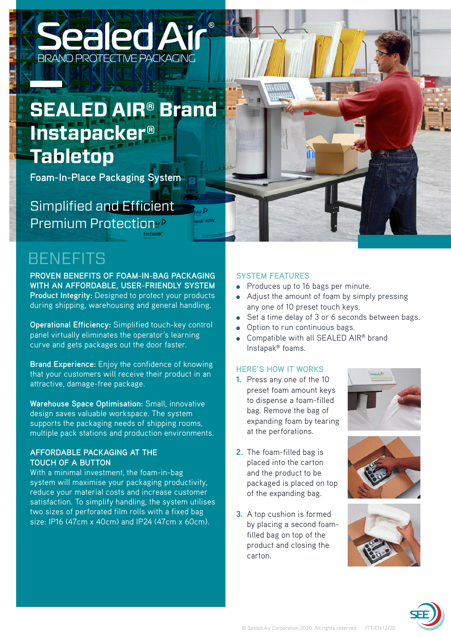

# **SEALED AIR® Brand Instapacker® Tabletop**

**Foam-In-Place Packaging System**

Simplified and Efficient **Premium Protection** 

### **BENEFITS**

**PROVEN BENEFITS OF FOAM-IN-BAG PACKAGING WITH AN AFFORDABLE, USER-FRIENDLY SYSTEM Product Integrity:** Designed to protect your products during shipping, warehousing and general handling.

**Operational Efficiency:** Simplified touch-key control panel virtually eliminates the operator's learning curve and gets packages out the door faster.

**Brand Experience:** Enjoy the confidence of knowing that your customers will receive their product in an attractive, damage-free package.

**Warehouse Space Optimisation:** Small, innovative design saves valuable workspace. The system supports the packaging needs of shipping rooms, multiple pack stations and production environments.

#### **AFFORDABLE PACKAGING AT THE TOUCH OF A BUTTON**

With a minimal investment, the foam-in-bag system will maximise your packaging productivity, reduce your material costs and increase customer satisfaction. To simplify handling, the system utilises two sizes of perforated film rolls with a fixed bag size: IP16 (47cm x 40cm) and IP24 (47cm x 60cm).

#### **SYSTEM FEATURES**

.b

- Produces up to 16 bags per minute.
- Adjust the amount of foam by simply pressing any one of 10 preset touch keys.
- $\bullet$  Set a time delay of 3 or 6 seconds between bags.
- Option to run continuous bags.
- **.** Compatible with all SEALED AIR® brand Instapak® foams.

#### **HERE'S HOW IT WORKS**

- **1.** Press any one of the 10 preset foam amount keys to dispense a foam-filled bag. Remove the bag of expanding foam by tearing at the perforations.
- **2.** The foam-filled bag is placed into the carton and the product to be packaged is placed on top of the expanding bag.
- **3.** A top cushion is formed by placing a second foamfilled bag on top of the product and closing the carton.